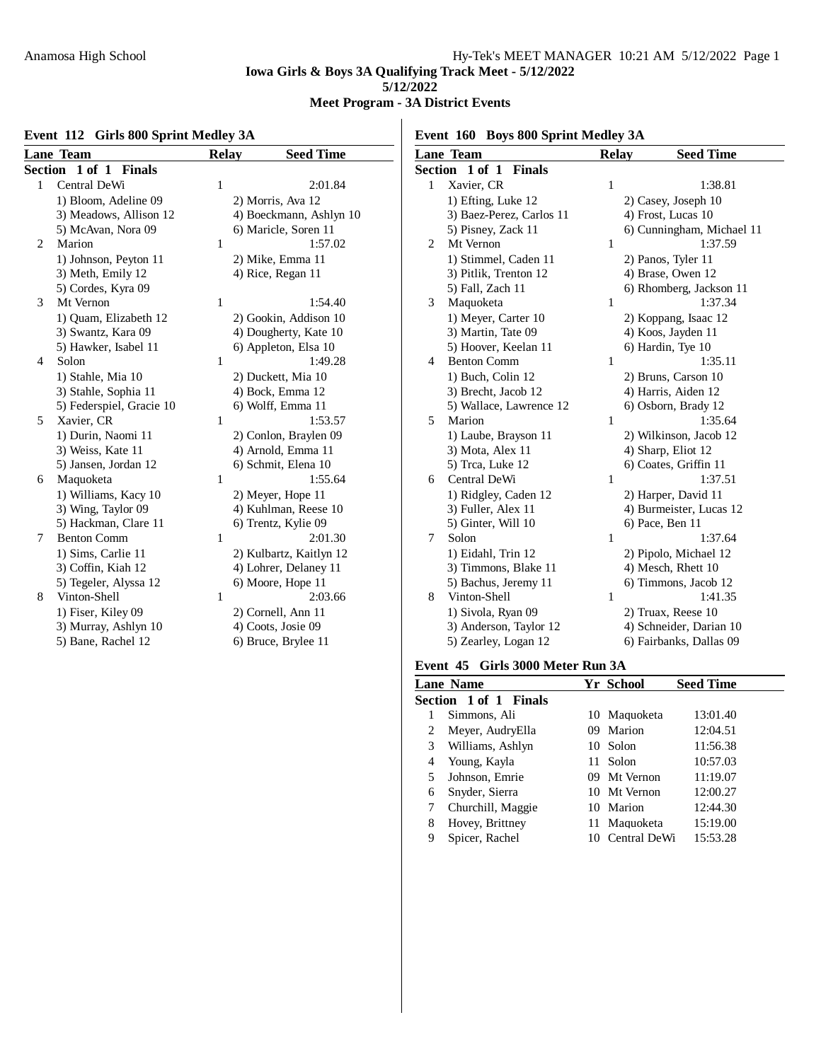# **Meet Program - 3A District Events**

# **Event 112 Girls 800 Sprint Medley 3A**

**Event 160 Boys 800 Sprint Medley 3A**

|   | <b>Lane Team</b>         | <b>Relay</b> | <b>Seed Time</b>        |                | <b>Lane Team</b>   |
|---|--------------------------|--------------|-------------------------|----------------|--------------------|
|   | Section 1 of 1 Finals    |              |                         |                | Section 1 of 1 F   |
| 1 | Central DeWi             | 1            | 2:01.84                 | 1              | Xavier, CR         |
|   | 1) Bloom, Adeline 09     |              | 2) Morris, Ava 12       |                | 1) Efting, Luke    |
|   | 3) Meadows, Allison 12   |              | 4) Boeckmann, Ashlyn 10 |                | 3) Baez-Perez,     |
|   | 5) McAvan, Nora 09       |              | 6) Maricle, Soren 11    |                | 5) Pisney, Zacl    |
| 2 | Marion                   | $\mathbf{1}$ | 1:57.02                 | 2              | Mt Vernon          |
|   | 1) Johnson, Peyton 11    |              | 2) Mike, Emma 11        |                | 1) Stimmel, Ca     |
|   | 3) Meth, Emily 12        |              | 4) Rice, Regan 11       |                | 3) Pitlik, Trent   |
|   | 5) Cordes, Kyra 09       |              |                         |                | 5) Fall, Zach 1    |
| 3 | Mt Vernon                | $\mathbf{1}$ | 1:54.40                 | 3              | Maquoketa          |
|   | 1) Quam, Elizabeth 12    |              | 2) Gookin, Addison 10   |                | 1) Meyer, Cart     |
|   | 3) Swantz, Kara 09       |              | 4) Dougherty, Kate 10   |                | 3) Martin, Tate    |
|   | 5) Hawker, Isabel 11     |              | 6) Appleton, Elsa 10    |                | 5) Hoover, Kee     |
| 4 | Solon                    | $\mathbf{1}$ | 1:49.28                 | $\overline{4}$ | <b>Benton Comm</b> |
|   | 1) Stahle, Mia 10        |              | 2) Duckett, Mia 10      |                | 1) Buch, Colin     |
|   | 3) Stahle, Sophia 11     |              | 4) Bock, Emma 12        |                | 3) Brecht, Jacc    |
|   | 5) Federspiel, Gracie 10 |              | 6) Wolff, Emma 11       |                | 5) Wallace, La     |
| 5 | Xavier, CR               | $\mathbf{1}$ | 1:53.57                 | 5              | Marion             |
|   | 1) Durin, Naomi 11       |              | 2) Conlon, Braylen 09   |                | 1) Laube, Bray     |
|   | 3) Weiss, Kate 11        |              | 4) Arnold, Emma 11      |                | 3) Mota, Alex      |
|   | 5) Jansen, Jordan 12     |              | 6) Schmit, Elena 10     |                | 5) Trca, Luke      |
| 6 | Maquoketa                | 1            | 1:55.64                 | 6              | Central DeWi       |
|   | 1) Williams, Kacy 10     |              | 2) Meyer, Hope 11       |                | 1) Ridgley, Ca     |
|   | 3) Wing, Taylor 09       |              | 4) Kuhlman, Reese 10    |                | 3) Fuller, Alex    |
|   | 5) Hackman, Clare 11     |              | 6) Trentz, Kylie 09     |                | 5) Ginter, Will    |
| 7 | <b>Benton Comm</b>       | $\mathbf{1}$ | 2:01.30                 | $\tau$         | Solon              |
|   | 1) Sims, Carlie 11       |              | 2) Kulbartz, Kaitlyn 12 |                | 1) Eidahl, Trin    |
|   | 3) Coffin, Kiah 12       |              | 4) Lohrer, Delaney 11   |                | 3) Timmons, B      |
|   | 5) Tegeler, Alyssa 12    |              | 6) Moore, Hope 11       |                | 5) Bachus, Jere    |
| 8 | Vinton-Shell             | $\mathbf{1}$ | 2:03.66                 | 8              | Vinton-Shell       |
|   | 1) Fiser, Kiley 09       |              | 2) Cornell, Ann 11      |                | 1) Sivola, Ryar    |
|   | 3) Murray, Ashlyn 10     |              | 4) Coots, Josie 09      |                | 3) Anderson, T     |
|   | 5) Bane, Rachel 12       |              | 6) Bruce, Brylee 11     |                | 5) Zearley, Log    |
|   |                          |              |                         |                |                    |

|                | <b>Lane Team</b>         | Relay        | <b>Seed Time</b>          |
|----------------|--------------------------|--------------|---------------------------|
| Section        | 1 of 1<br><b>Finals</b>  |              |                           |
| 1              | Xavier, CR               | 1            | 1:38.81                   |
|                | 1) Efting, Luke 12       |              | 2) Casey, Joseph 10       |
|                | 3) Baez-Perez, Carlos 11 |              | 4) Frost, Lucas 10        |
|                | 5) Pisney, Zack 11       |              | 6) Cunningham, Michael 11 |
| $\overline{c}$ | Mt Vernon                | 1            | 1:37.59                   |
|                | 1) Stimmel, Caden 11     |              | 2) Panos, Tyler 11        |
|                | 3) Pitlik, Trenton 12    |              | 4) Brase, Owen 12         |
|                | 5) Fall, Zach 11         |              | 6) Rhomberg, Jackson 11   |
| 3              | Maquoketa                | 1            | 1:37.34                   |
|                | 1) Meyer, Carter 10      |              | 2) Koppang, Isaac 12      |
|                | 3) Martin, Tate 09       |              | 4) Koos, Jayden 11        |
|                | 5) Hoover, Keelan 11     |              | 6) Hardin, Tye 10         |
| 4              | <b>Benton Comm</b>       | 1            | 1:35.11                   |
|                | 1) Buch, Colin 12        |              | 2) Bruns, Carson 10       |
|                | 3) Brecht, Jacob 12      |              | 4) Harris, Aiden 12       |
|                | 5) Wallace, Lawrence 12  |              | 6) Osborn, Brady 12       |
| 5              | Marion                   | 1            | 1:35.64                   |
|                | 1) Laube, Brayson 11     |              | 2) Wilkinson, Jacob 12    |
|                | 3) Mota, Alex 11         |              | 4) Sharp, Eliot 12        |
|                | 5) Trca, Luke 12         |              | 6) Coates, Griffin 11     |
| 6              | Central DeWi             | 1            | 1:37.51                   |
|                | 1) Ridgley, Caden 12     |              | 2) Harper, David 11       |
|                | 3) Fuller, Alex 11       |              | 4) Burmeister, Lucas 12   |
|                | 5) Ginter, Will 10       |              | 6) Pace, Ben 11           |
| 7              | Solon                    | $\mathbf{1}$ | 1:37.64                   |
|                | 1) Eidahl, Trin 12       |              | 2) Pipolo, Michael 12     |
|                | 3) Timmons, Blake 11     |              | 4) Mesch, Rhett 10        |
|                | 5) Bachus, Jeremy 11     |              | 6) Timmons, Jacob 12      |
| 8              | Vinton-Shell             | 1            | 1:41.35                   |
|                | 1) Sivola, Ryan 09       |              | 2) Truax, Reese 10        |
|                | 3) Anderson, Taylor 12   |              | 4) Schneider, Darian 10   |
|                | 5) Zearley, Logan 12     |              | 6) Fairbanks, Dallas 09   |
|                |                          |              |                           |

# **Event 45 Girls 3000 Meter Run 3A**

|   | <b>Lane Name</b>             |     | Yr School    | <b>Seed Time</b> |
|---|------------------------------|-----|--------------|------------------|
|   | <b>Section 1 of 1 Finals</b> |     |              |                  |
|   | Simmons, Ali                 |     | 10 Maguoketa | 13:01.40         |
| 2 | Meyer, AudryElla             | 09. | Marion       | 12:04.51         |
| 3 | Williams, Ashlyn             |     | 10 Solon     | 11:56.38         |
| 4 | Young, Kayla                 | 11. | Solon        | 10:57.03         |
| 5 | Johnson, Emrie               |     | 09 Mt Vernon | 11:19.07         |
| 6 | Snyder, Sierra               |     | 10 Mt Vernon | 12:00.27         |
|   | Churchill, Maggie            |     | 10 Marion    | 12:44.30         |
| 8 | Hovey, Brittney              |     | 11 Maguoketa | 15:19.00         |
| 9 | Spicer, Rachel               | 10  | Central DeWi | 15:53.28         |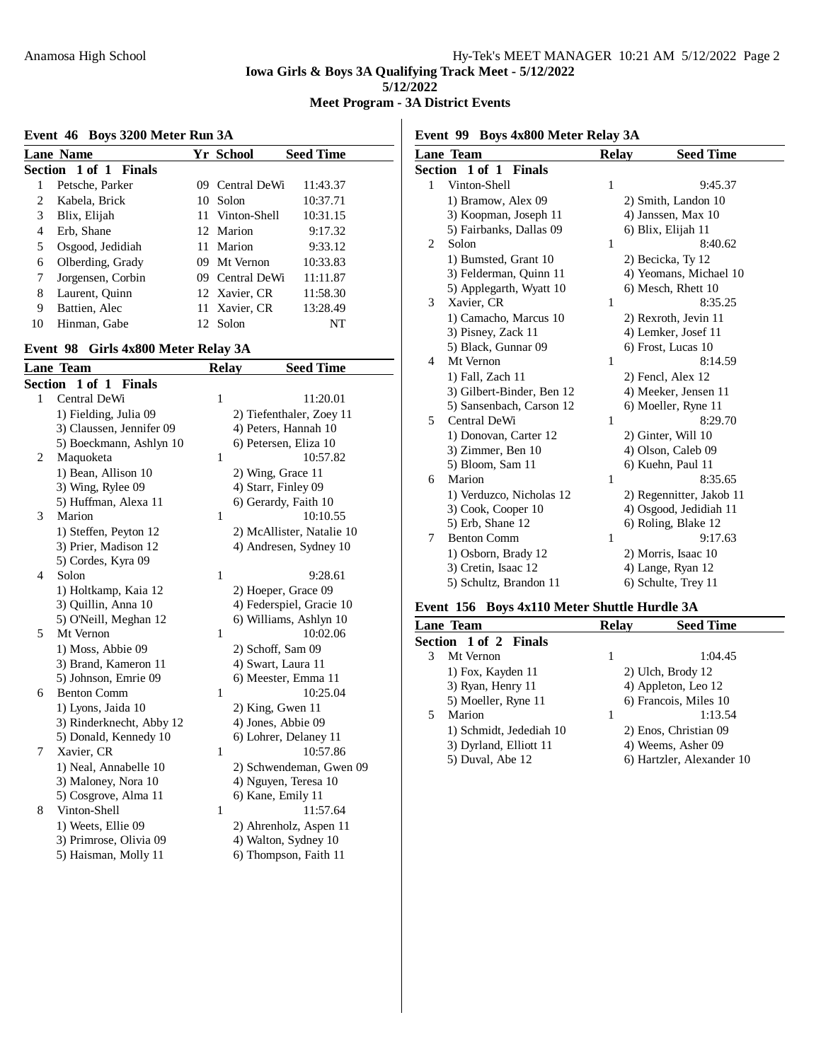**Meet Program - 3A District Events**

# **Event 46 Boys 3200 Meter Run 3A**

|    | <b>Lane Name</b>      | <b>Yr School</b> | <b>Seed Time</b> |
|----|-----------------------|------------------|------------------|
|    | Section 1 of 1 Finals |                  |                  |
|    | Petsche, Parker       | 09 Central DeWi  | 11:43.37         |
| 2  | Kabela, Brick         | 10 Solon         | 10:37.71         |
| 3  | Blix, Elijah          | 11 Vinton-Shell  | 10:31.15         |
| 4  | Erb, Shane            | 12 Marion        | 9:17.32          |
| 5  | Osgood, Jedidiah      | 11 Marion        | 9:33.12          |
| 6  | Olberding, Grady      | 09 Mt Vernon     | 10:33.83         |
| 7  | Jorgensen, Corbin     | 09 Central DeWi  | 11:11.87         |
| 8  | Laurent, Quinn        | 12 Xavier, CR    | 11:58.30         |
| 9  | Battien, Alec         | 11 Xavier, CR    | 13:28.49         |
| 10 | Hinman, Gabe          | 12 Solon         | NT               |

#### **Event 98 Girls 4x800 Meter Relay 3A**

|         | <b>Lane Team</b>         | <b>Relay</b> | <b>Seed Time</b>          |
|---------|--------------------------|--------------|---------------------------|
| Section | 1 of 1 Finals            |              |                           |
| 1       | Central DeWi             | 1            | 11:20.01                  |
|         | 1) Fielding, Julia 09    |              | 2) Tiefenthaler, Zoey 11  |
|         | 3) Claussen, Jennifer 09 |              | 4) Peters, Hannah 10      |
|         | 5) Boeckmann, Ashlyn 10  |              | 6) Petersen, Eliza 10     |
| 2       | Maquoketa                | 1            | 10:57.82                  |
|         | 1) Bean, Allison 10      |              | 2) Wing, Grace 11         |
|         | 3) Wing, Rylee 09        |              | 4) Starr, Finley 09       |
|         | 5) Huffman, Alexa 11     |              | 6) Gerardy, Faith 10      |
| 3       | Marion                   | 1            | 10:10.55                  |
|         | 1) Steffen, Peyton 12    |              | 2) McAllister, Natalie 10 |
|         | 3) Prier, Madison 12     |              | 4) Andresen, Sydney 10    |
|         | 5) Cordes, Kyra 09       |              |                           |
| 4       | Solon                    | 1            | 9:28.61                   |
|         | 1) Holtkamp, Kaia 12     |              | 2) Hoeper, Grace 09       |
|         | 3) Quillin, Anna 10      |              | 4) Federspiel, Gracie 10  |
|         | 5) O'Neill, Meghan 12    |              | 6) Williams, Ashlyn 10    |
| 5       | Mt Vernon                | 1            | 10:02.06                  |
|         | 1) Moss, Abbie 09        |              | 2) Schoff, Sam 09         |
|         | 3) Brand, Kameron 11     |              | 4) Swart, Laura 11        |
|         | 5) Johnson, Emrie 09     |              | 6) Meester, Emma 11       |
| 6       | <b>Benton Comm</b>       | 1            | 10:25.04                  |
|         | 1) Lyons, Jaida 10       |              | $2)$ King, Gwen 11        |
|         | 3) Rinderknecht, Abby 12 |              | 4) Jones, Abbie 09        |
|         | 5) Donald, Kennedy 10    |              | 6) Lohrer, Delaney 11     |
| 7       | Xavier, CR               | 1            | 10:57.86                  |
|         | 1) Neal, Annabelle 10    |              | 2) Schwendeman, Gwen 09   |
|         | 3) Maloney, Nora 10      |              | 4) Nguyen, Teresa 10      |
|         | 5) Cosgrove, Alma 11     |              | 6) Kane, Emily 11         |
| 8       | Vinton-Shell             | 1            | 11:57.64                  |
|         | 1) Weets, Ellie 09       |              | 2) Ahrenholz, Aspen 11    |
|         | 3) Primrose, Olivia 09   |              | 4) Walton, Sydney 10      |
|         | 5) Haisman, Molly 11     |              | 6) Thompson, Faith 11     |

**Event 99 Boys 4x800 Meter Relay 3A**

|   | <u>Lane Team</u>             | Relay        | <b>Seed Time</b>         |
|---|------------------------------|--------------|--------------------------|
|   | <b>Section 1 of 1 Finals</b> |              |                          |
| 1 | Vinton-Shell                 | $\mathbf{1}$ | 9:45.37                  |
|   | 1) Bramow, Alex 09           |              | 2) Smith, Landon 10      |
|   | 3) Koopman, Joseph 11        |              | 4) Janssen, Max 10       |
|   | 5) Fairbanks, Dallas 09      |              | 6) Blix, Elijah 11       |
| 2 | Solon                        | 1            | 8:40.62                  |
|   | 1) Bumsted, Grant 10         |              | 2) Becicka, Ty 12        |
|   | 3) Felderman, Quinn 11       |              | 4) Yeomans, Michael 10   |
|   | 5) Applegarth, Wyatt 10      |              | 6) Mesch, Rhett 10       |
| 3 | Xavier, CR                   | 1            | 8:35.25                  |
|   | 1) Camacho, Marcus 10        |              | 2) Rexroth, Jevin 11     |
|   | 3) Pisney, Zack 11           |              | 4) Lemker, Josef 11      |
|   | 5) Black, Gunnar 09          |              | 6) Frost, Lucas 10       |
| 4 | Mt Vernon                    | 1            | 8:14.59                  |
|   | 1) Fall, Zach 11             |              | 2) Fencl, Alex 12        |
|   | 3) Gilbert-Binder, Ben 12    |              | 4) Meeker, Jensen 11     |
|   | 5) Sansenbach, Carson 12     |              | 6) Moeller, Ryne 11      |
| 5 | Central DeWi                 | 1            | 8:29.70                  |
|   | 1) Donovan, Carter 12        |              | 2) Ginter, Will 10       |
|   | 3) Zimmer, Ben 10            |              | 4) Olson, Caleb 09       |
|   | 5) Bloom, Sam 11             |              | 6) Kuehn, Paul 11        |
| 6 | Marion                       | 1            | 8:35.65                  |
|   | 1) Verduzco, Nicholas 12     |              | 2) Regennitter, Jakob 11 |
|   | 3) Cook, Cooper 10           |              | 4) Osgood, Jedidiah 11   |
|   | 5) Erb, Shane 12             |              | 6) Roling, Blake 12      |
| 7 | <b>Benton Comm</b>           | 1            | 9:17.63                  |
|   | 1) Osborn, Brady 12          |              | 2) Morris, Isaac 10      |
|   | 3) Cretin, Isaac 12          |              | 4) Lange, Ryan 12        |
|   | 5) Schultz, Brandon 11       |              | 6) Schulte, Trey 11      |

# **Event 156 Boys 4x110 Meter Shuttle Hurdle 3A**

|   | Lane Team               | Relav | <b>Seed Time</b>          |
|---|-------------------------|-------|---------------------------|
|   | Section 1 of 2 Finals   |       |                           |
| 3 | Mt Vernon               | 1     | 1:04.45                   |
|   | 1) Fox, Kayden 11       |       | 2) Ulch, Brody 12         |
|   | 3) Ryan, Henry 11       |       | 4) Appleton, Leo 12       |
|   | 5) Moeller, Ryne 11     |       | 6) Francois, Miles 10     |
| 5 | Marion                  | 1     | 1:13.54                   |
|   | 1) Schmidt, Jedediah 10 |       | 2) Enos, Christian 09     |
|   | 3) Dyrland, Elliott 11  |       | 4) Weems, Asher 09        |
|   | 5) Duval, Abe 12        |       | 6) Hartzler, Alexander 10 |
|   |                         |       |                           |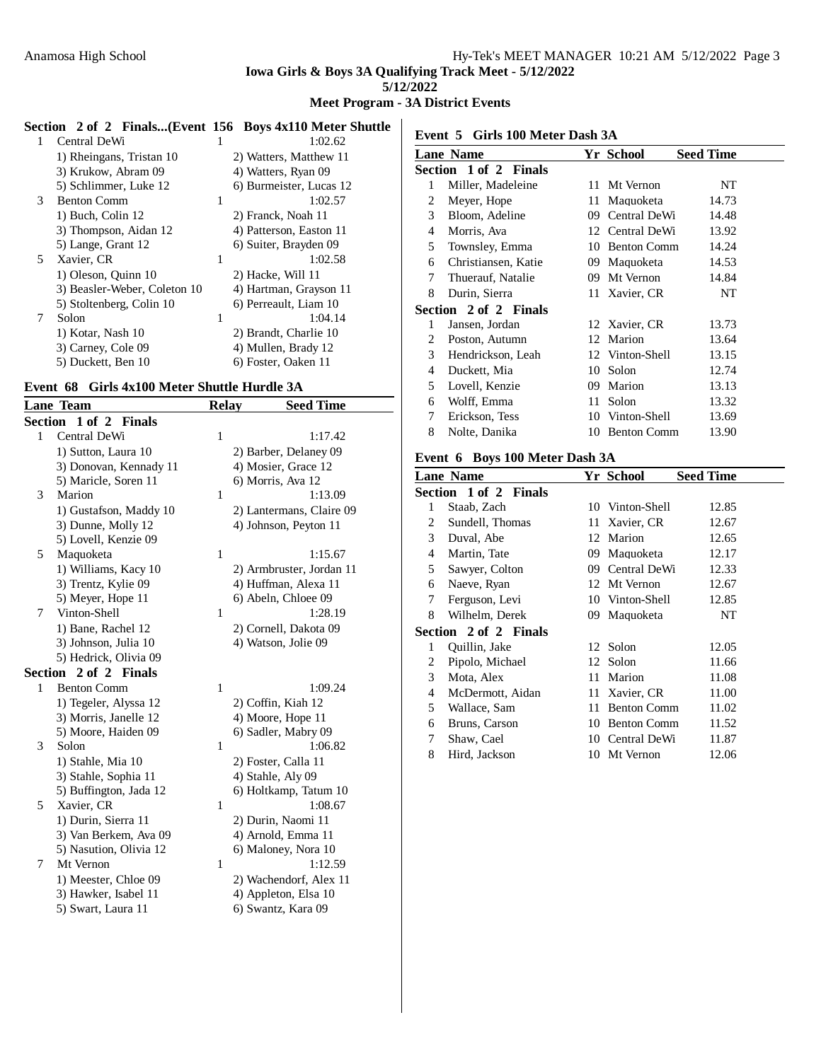# **Meet Program - 3A District Events**

| Central DeWi                 |   | 1:02.62                 |                                                          |                                     |
|------------------------------|---|-------------------------|----------------------------------------------------------|-------------------------------------|
| 1) Rheingans, Tristan 10     |   | 2) Watters, Matthew 11  | Lane N                                                   |                                     |
| 3) Krukow, Abram 09          |   | 4) Watters, Ryan 09     | <b>Section</b>                                           |                                     |
| 5) Schlimmer, Luke 12        |   | 6) Burmeister, Lucas 12 |                                                          | M                                   |
| <b>Benton Comm</b>           | 1 | 1:02.57                 | 2                                                        | M                                   |
| 1) Buch, Colin 12            |   | 2) Franck, Noah 11      | 3                                                        | <sub>B1</sub>                       |
| 3) Thompson, Aidan 12        |   | 4) Patterson, Easton 11 | 4                                                        | M                                   |
| 5) Lange, Grant 12           |   | 6) Suiter, Brayden 09   | 5                                                        | To                                  |
| Xavier, CR                   | 1 | 1:02.58                 | 6                                                        | Cł                                  |
| 1) Oleson, Quinn 10          |   | 2) Hacke, Will 11       |                                                          | Th                                  |
| 3) Beasler-Weber, Coleton 10 |   | 4) Hartman, Grayson 11  | 8                                                        | Dι                                  |
| 5) Stoltenberg, Colin 10     |   | 6) Perreault, Liam 10   |                                                          |                                     |
| Solon                        | 1 | 1:04.14                 |                                                          | Ja                                  |
| 1) Kotar, Nash 10            |   | 2) Brandt, Charlie 10   |                                                          | Po                                  |
| 3) Carney, Cole 09           |   | 4) Mullen, Brady 12     |                                                          |                                     |
| 5) Duckett, Ben 10           |   | 6) Foster, Oaken 11     |                                                          | $H_6$<br>$\sqrt{ }$                 |
|                              |   |                         | Section 2 of 2 Finals(Event 156 Boys 4x110 Meter Shuttle | Event 5<br><b>Section</b><br>2<br>3 |

#### **Event 68 Girls 4x100 Meter Shuttle Hurdle 3A**

|         | <b>Lane Team</b>       | <b>Relay</b> | <b>Seed Time</b>         |
|---------|------------------------|--------------|--------------------------|
| Section | 1 of 2 Finals          |              |                          |
| 1       | Central DeWi           | 1            | 1:17.42                  |
|         | 1) Sutton, Laura 10    |              | 2) Barber, Delaney 09    |
|         | 3) Donovan, Kennady 11 |              | 4) Mosier, Grace 12      |
|         | 5) Maricle, Soren 11   |              | 6) Morris, Ava 12        |
| 3       | Marion                 | 1            | 1:13.09                  |
|         | 1) Gustafson, Maddy 10 |              | 2) Lantermans, Claire 09 |
|         | 3) Dunne, Molly 12     |              | 4) Johnson, Peyton 11    |
|         | 5) Lovell, Kenzie 09   |              |                          |
| 5       | Maquoketa              | 1            | 1:15.67                  |
|         | 1) Williams, Kacy 10   |              | 2) Armbruster, Jordan 11 |
|         | 3) Trentz, Kylie 09    |              | 4) Huffman, Alexa 11     |
|         | 5) Meyer, Hope 11      |              | 6) Abeln, Chloee 09      |
| 7       | Vinton-Shell           | $\mathbf{1}$ | 1:28.19                  |
|         | 1) Bane, Rachel 12     |              | 2) Cornell, Dakota 09    |
|         | 3) Johnson, Julia 10   |              | 4) Watson, Jolie 09      |
|         | 5) Hedrick, Olivia 09  |              |                          |
|         | Section 2 of 2 Finals  |              |                          |
| 1       | <b>Benton Comm</b>     | $\mathbf{1}$ | 1:09.24                  |
|         | 1) Tegeler, Alyssa 12  |              | 2) Coffin, Kiah 12       |
|         | 3) Morris, Janelle 12  |              | 4) Moore, Hope 11        |
|         | 5) Moore, Haiden 09    |              | 6) Sadler, Mabry 09      |
| 3       | Solon                  | 1            | 1:06.82                  |
|         | 1) Stahle, Mia 10      |              | 2) Foster, Calla 11      |
|         | 3) Stahle, Sophia 11   |              | 4) Stahle, Aly 09        |
|         | 5) Buffington, Jada 12 |              | 6) Holtkamp, Tatum 10    |
| 5       | Xavier, CR             | 1            | 1:08.67                  |
|         | 1) Durin, Sierra 11    |              | 2) Durin, Naomi 11       |
|         | 3) Van Berkem, Ava 09  |              | 4) Arnold, Emma 11       |
|         | 5) Nasution, Olivia 12 |              | 6) Maloney, Nora 10      |
| 7       | Mt Vernon              | 1            | 1:12.59                  |
|         | 1) Meester, Chloe 09   |              | 2) Wachendorf, Alex 11   |
|         | 3) Hawker, Isabel 11   |              | 4) Appleton, Elsa 10     |
|         | 5) Swart, Laura 11     |              | 6) Swantz, Kara 09       |
|         |                        |              |                          |

**Event 5 Girls 100 Meter Dash 3A**

|   | <b>Lane Name</b>      |     | Yr School          | <b>Seed Time</b> |
|---|-----------------------|-----|--------------------|------------------|
|   | Section 1 of 2 Finals |     |                    |                  |
| 1 | Miller, Madeleine     |     | 11 Mt Vernon       | NT               |
| 2 | Meyer, Hope           | 11. | Maquoketa          | 14.73            |
| 3 | Bloom, Adeline        |     | 09 Central DeWi    | 14.48            |
| 4 | Morris, Ava           |     | 12 Central DeWi    | 13.92            |
| 5 | Townsley, Emma        | 10  | <b>Benton Comm</b> | 14.24            |
| 6 | Christiansen, Katie   |     | 09 Maquoketa       | 14.53            |
| 7 | Thuerauf, Natalie     |     | 09 Mt Vernon       | 14.84            |
| 8 | Durin, Sierra         |     | 11 Xavier, CR      | NT               |
|   | Section 2 of 2 Finals |     |                    |                  |
| 1 | Jansen, Jordan        |     | 12 Xavier, CR      | 13.73            |
| 2 | Poston, Autumn        |     | 12 Marion          | 13.64            |
| 3 | Hendrickson, Leah     |     | 12 Vinton-Shell    | 13.15            |
| 4 | Duckett, Mia          | 10  | Solon              | 12.74            |
| 5 | Lovell, Kenzie        | 09. | Marion             | 13.13            |
| 6 | Wolff, Emma           | 11  | Solon              | 13.32            |
| 7 | Erickson, Tess        |     | 10 Vinton-Shell    | 13.69            |
| 8 | Nolte, Danika         | 10  | <b>Benton Comm</b> | 13.90            |
|   |                       |     |                    |                  |

#### **Event 6 Boys 100 Meter Dash 3A**

|   | <b>Lane Name</b>      |     | Yr School          | <b>Seed Time</b> |
|---|-----------------------|-----|--------------------|------------------|
|   | Section 1 of 2 Finals |     |                    |                  |
| 1 | Staab, Zach           |     | 10 Vinton-Shell    | 12.85            |
| 2 | Sundell, Thomas       | 11- | Xavier, CR         | 12.67            |
| 3 | Duval, Abe            | 12  | Marion             | 12.65            |
| 4 | Martin, Tate          | 09  | Maquoketa          | 12.17            |
| 5 | Sawyer, Colton        | 09. | Central DeWi       | 12.33            |
| 6 | Naeve, Ryan           |     | 12 Mt Vernon       | 12.67            |
| 7 | Ferguson, Levi        |     | 10 Vinton-Shell    | 12.85            |
| 8 | Wilhelm, Derek        | 09. | Maquoketa          | NT               |
|   | Section 2 of 2 Finals |     |                    |                  |
| 1 | Quillin, Jake         |     | 12 Solon           | 12.05            |
| 2 | Pipolo, Michael       |     | 12 Solon           | 11.66            |
| 3 | Mota, Alex            | 11  | Marion             | 11.08            |
| 4 | McDermott, Aidan      |     | 11 Xavier, CR      | 11.00            |
| 5 | Wallace, Sam          | 11  | <b>Benton Comm</b> | 11.02            |
| 6 | Bruns, Carson         | 10  | <b>Benton Comm</b> | 11.52            |
| 7 | Shaw, Cael            |     | 10 Central DeWi    | 11.87            |
| 8 | Hird, Jackson         |     | 10 Mt Vernon       | 12.06            |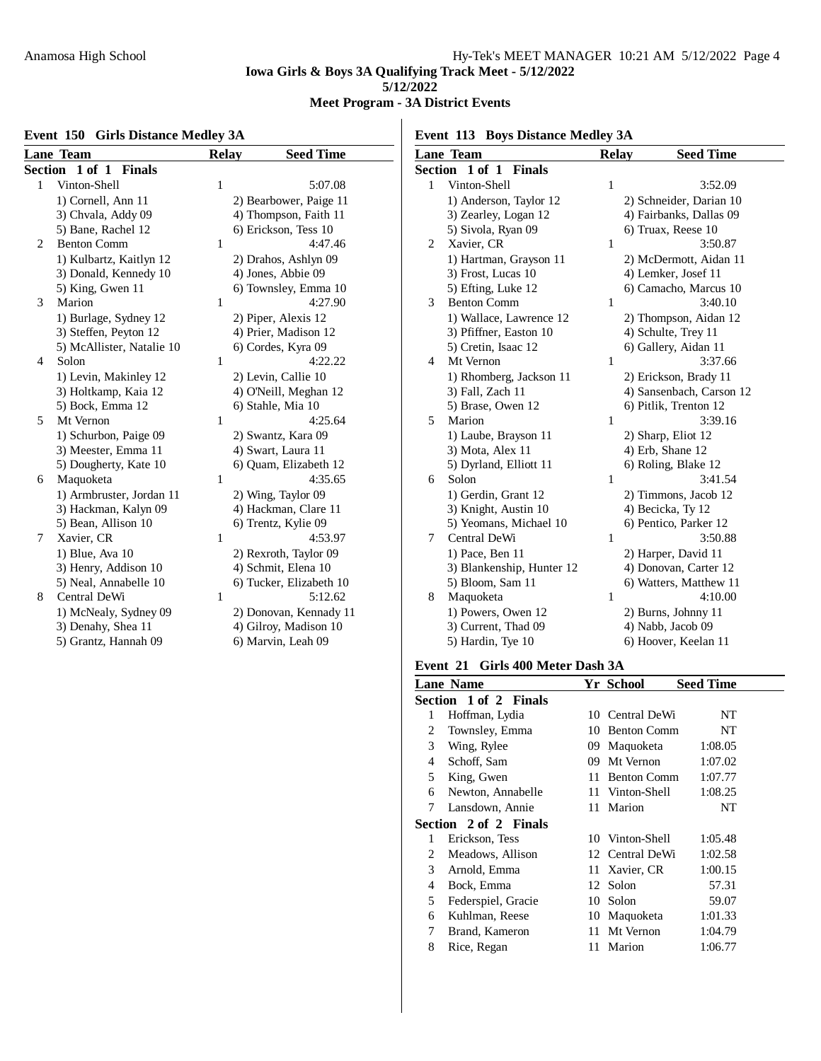# **Meet Program - 3A District Events**

# **Event 150 Girls Distance Medley 3A**

**Event 113 Boys Distance Medley 3A**

|                | <u>Lane Team</u>            | <b>Relay</b> | <b>Seed Time</b>        |
|----------------|-----------------------------|--------------|-------------------------|
| Section        | $1$ of $1$<br><b>Finals</b> |              |                         |
| 1              | Vinton-Shell                | 1            | 5:07.08                 |
|                | 1) Cornell, Ann 11          |              | 2) Bearbower, Paige 11  |
|                | 3) Chvala, Addy 09          |              | 4) Thompson, Faith 11   |
|                | 5) Bane, Rachel 12          |              | 6) Erickson, Tess 10    |
| $\overline{c}$ | <b>Benton Comm</b>          | 1            | 4:47.46                 |
|                | 1) Kulbartz, Kaitlyn 12     |              | 2) Drahos, Ashlyn 09    |
|                | 3) Donald, Kennedy 10       |              | 4) Jones, Abbie 09      |
|                | 5) King, Gwen 11            |              | 6) Townsley, Emma 10    |
| 3              | Marion                      | 1            | 4:27.90                 |
|                | 1) Burlage, Sydney 12       |              | 2) Piper, Alexis 12     |
|                | 3) Steffen, Peyton 12       |              | 4) Prier, Madison 12    |
|                | 5) McAllister, Natalie 10   |              | 6) Cordes, Kyra 09      |
| 4              | Solon                       | 1            | 4:22.22                 |
|                | 1) Levin, Makinley 12       |              | 2) Levin, Callie 10     |
|                | 3) Holtkamp, Kaia 12        |              | 4) O'Neill, Meghan 12   |
|                | 5) Bock, Emma 12            |              | 6) Stahle, Mia 10       |
| 5              | Mt Vernon                   | 1            | 4:25.64                 |
|                | 1) Schurbon, Paige 09       |              | 2) Swantz, Kara 09      |
|                | 3) Meester, Emma 11         |              | 4) Swart, Laura 11      |
|                | 5) Dougherty, Kate 10       |              | 6) Quam, Elizabeth 12   |
| 6              | Maquoketa                   | 1            | 4:35.65                 |
|                | 1) Armbruster, Jordan 11    |              | 2) Wing, Taylor 09      |
|                | 3) Hackman, Kalyn 09        |              | 4) Hackman, Clare 11    |
|                | 5) Bean, Allison 10         |              | 6) Trentz, Kylie 09     |
| 7              | Xavier, CR                  | 1            | 4:53.97                 |
|                | 1) Blue, Ava 10             |              | 2) Rexroth, Taylor 09   |
|                | 3) Henry, Addison 10        |              | 4) Schmit, Elena 10     |
|                | 5) Neal, Annabelle 10       |              | 6) Tucker, Elizabeth 10 |
| 8              | Central DeWi                | 1            | 5:12.62                 |
|                | 1) McNealy, Sydney 09       |              | 2) Donovan, Kennady 11  |
|                | 3) Denahy, Shea 11          |              | 4) Gilroy, Madison 10   |
|                | 5) Grantz, Hannah 09        |              | 6) Marvin, Leah 09      |

|                | <b>Lane Team</b>          | Relay        | <b>Seed Time</b>         |
|----------------|---------------------------|--------------|--------------------------|
| <b>Section</b> | 1 of 1 Finals             |              |                          |
| 1              | Vinton-Shell              | 1            | 3:52.09                  |
|                | 1) Anderson, Taylor 12    |              | 2) Schneider, Darian 10  |
|                | 3) Zearley, Logan 12      |              | 4) Fairbanks, Dallas 09  |
|                | 5) Sivola, Ryan 09        |              | 6) Truax, Reese 10       |
| 2              | Xavier, CR                | 1            | 3:50.87                  |
|                | 1) Hartman, Grayson 11    |              | 2) McDermott, Aidan 11   |
|                | 3) Frost, Lucas 10        |              | 4) Lemker, Josef 11      |
|                | 5) Efting, Luke 12        |              | 6) Camacho, Marcus 10    |
| 3              | <b>Benton Comm</b>        | 1            | 3:40.10                  |
|                | 1) Wallace, Lawrence 12   |              | 2) Thompson, Aidan 12    |
|                | 3) Pfiffner, Easton 10    |              | 4) Schulte, Trey 11      |
|                | 5) Cretin, Isaac 12       |              | 6) Gallery, Aidan 11     |
| $\overline{4}$ | Mt Vernon                 | 1            | 3:37.66                  |
|                | 1) Rhomberg, Jackson 11   |              | 2) Erickson, Brady 11    |
|                | 3) Fall, Zach 11          |              | 4) Sansenbach, Carson 12 |
|                | 5) Brase, Owen 12         |              | 6) Pitlik, Trenton 12    |
| 5              | Marion                    | $\mathbf{1}$ | 3:39.16                  |
|                | 1) Laube, Brayson 11      |              | 2) Sharp, Eliot 12       |
|                | 3) Mota, Alex 11          |              | 4) Erb, Shane 12         |
|                | 5) Dyrland, Elliott 11    |              | 6) Roling, Blake 12      |
| 6              | Solon                     | 1            | 3:41.54                  |
|                | 1) Gerdin, Grant 12       |              | 2) Timmons, Jacob 12     |
|                | 3) Knight, Austin 10      |              | 4) Becicka, Ty 12        |
|                | 5) Yeomans, Michael 10    |              | 6) Pentico, Parker 12    |
| 7              | Central DeWi              | 1            | 3:50.88                  |
|                | 1) Pace, Ben 11           |              | 2) Harper, David 11      |
|                | 3) Blankenship, Hunter 12 |              | 4) Donovan, Carter 12    |
|                | 5) Bloom, Sam 11          |              | 6) Watters, Matthew 11   |
| 8              | Maquoketa                 | 1            | 4:10.00                  |
|                | 1) Powers, Owen 12        |              | 2) Burns, Johnny 11      |
|                | 3) Current, Thad 09       |              | 4) Nabb, Jacob 09        |
|                | 5) Hardin, Tye 10         |              | 6) Hoover, Keelan 11     |

# **Event 21 Girls 400 Meter Dash 3A**

|                | <b>Lane Name</b>      |    | Yr School          | <b>Seed Time</b> |
|----------------|-----------------------|----|--------------------|------------------|
|                | Section 1 of 2 Finals |    |                    |                  |
| 1              | Hoffman, Lydia        | 10 | Central DeWi       | NT               |
| 2              | Townsley, Emma        |    | 10 Benton Comm     | NT               |
| 3              | Wing, Rylee           |    | 09 Maquoketa       | 1:08.05          |
| $\overline{4}$ | Schoff, Sam           | 09 | Mt Vernon          | 1:07.02          |
| 5              | King, Gwen            | 11 | <b>Benton Comm</b> | 1:07.77          |
| 6              | Newton, Annabelle     |    | 11 Vinton-Shell    | 1:08.25          |
| 7              | Lansdown, Annie       |    | 11 Marion          | NT               |
|                | Section 2 of 2 Finals |    |                    |                  |
| 1              | Erickson, Tess        |    | 10 Vinton-Shell    | 1:05.48          |
| 2              | Meadows, Allison      |    | 12 Central DeWi    | 1:02.58          |
| 3              | Arnold, Emma          |    | 11 Xavier, CR      | 1:00.15          |
| 4              | Bock, Emma            |    | 12 Solon           | 57.31            |
| 5              | Federspiel, Gracie    | 10 | Solon              | 59.07            |
| 6              | Kuhlman, Reese        |    | 10 Maguoketa       | 1:01.33          |
| 7              | Brand, Kameron        | 11 | Mt Vernon          | 1:04.79          |
| 8              | Rice, Regan           | 11 | Marion             | 1:06.77          |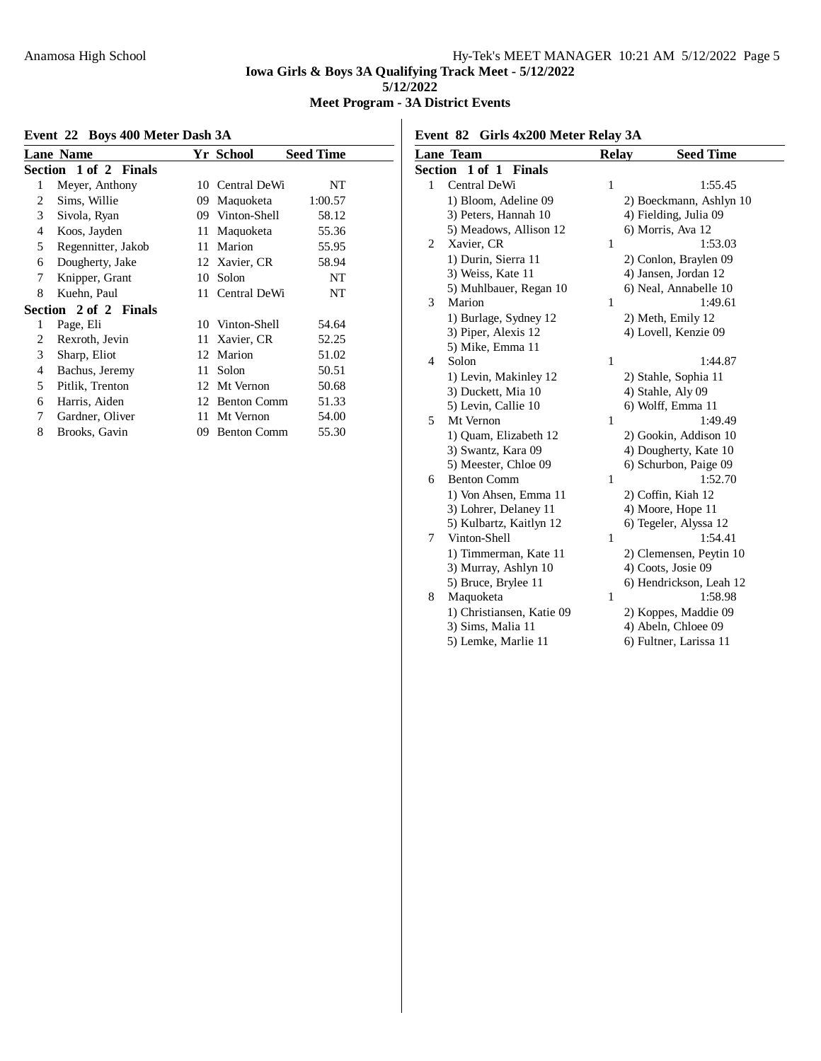# **Meet Program - 3A District Events**

# **Event 22 Boys 400 Meter Dash 3A**

|   | <b>Lane Name</b>      |    | Yr School          | <b>Seed Time</b> |
|---|-----------------------|----|--------------------|------------------|
|   | Section 1 of 2 Finals |    |                    |                  |
| 1 | Meyer, Anthony        | 10 | Central DeWi       | NT               |
| 2 | Sims, Willie          | 09 | Maquoketa          | 1:00.57          |
| 3 | Sivola, Ryan          | 09 | Vinton-Shell       | 58.12            |
| 4 | Koos, Jayden          | 11 | Maquoketa          | 55.36            |
| 5 | Regennitter, Jakob    | 11 | Marion             | 55.95            |
| 6 | Dougherty, Jake       |    | 12 Xavier, CR      | 58.94            |
| 7 | Knipper, Grant        | 10 | Solon              | NT               |
| 8 | Kuehn, Paul           | 11 | Central DeWi       | NT               |
|   | Section 2 of 2 Finals |    |                    |                  |
| 1 | Page, Eli             |    | 10 Vinton-Shell    | 54.64            |
| 2 | Rexroth, Jevin        | 11 | Xavier, CR         | 52.25            |
| 3 | Sharp, Eliot          | 12 | Marion             | 51.02            |
| 4 | Bachus, Jeremy        | 11 | Solon              | 50.51            |
| 5 | Pitlik, Trenton       | 12 | Mt Vernon          | 50.68            |
| 6 | Harris, Aiden         | 12 | <b>Benton Comm</b> | 51.33            |
| 7 | Gardner, Oliver       | 11 | Mt Vernon          | 54.00            |
| 8 | Brooks, Gavin         | 09 | <b>Benton Comm</b> | 55.30            |

# **Event 82 Girls 4x200 Meter Relay 3A**

|                | <b>Lane Team</b>            | <b>Relay</b> | <b>Seed Time</b>        |
|----------------|-----------------------------|--------------|-------------------------|
| Section        | $1$ of $1$<br><b>Finals</b> |              |                         |
| 1              | Central DeWi                | $\mathbf{1}$ | 1:55.45                 |
|                | 1) Bloom, Adeline 09        |              | 2) Boeckmann, Ashlyn 10 |
|                | 3) Peters, Hannah 10        |              | 4) Fielding, Julia 09   |
|                | 5) Meadows, Allison 12      |              | 6) Morris, Ava 12       |
| $\overline{2}$ | Xavier, CR                  | $\mathbf{1}$ | 1:53.03                 |
|                | 1) Durin, Sierra 11         |              | 2) Conlon, Braylen 09   |
|                | 3) Weiss, Kate 11           |              | 4) Jansen, Jordan 12    |
|                | 5) Muhlbauer, Regan 10      |              | 6) Neal, Annabelle 10   |
| 3              | Marion                      | 1            | 1:49.61                 |
|                | 1) Burlage, Sydney 12       |              | 2) Meth, Emily 12       |
|                | 3) Piper, Alexis 12         |              | 4) Lovell, Kenzie 09    |
|                | 5) Mike, Emma 11            |              |                         |
| $\overline{4}$ | Solon                       | $\mathbf{1}$ | 1:44.87                 |
|                | 1) Levin, Makinley 12       |              | 2) Stahle, Sophia 11    |
|                | 3) Duckett, Mia 10          |              | 4) Stahle, Aly 09       |
|                | 5) Levin, Callie 10         |              | 6) Wolff, Emma 11       |
| 5              | Mt Vernon                   | $\mathbf{1}$ | 1:49.49                 |
|                | 1) Ouam, Elizabeth 12       |              | 2) Gookin, Addison 10   |
|                | 3) Swantz, Kara 09          |              | 4) Dougherty, Kate 10   |
|                | 5) Meester, Chloe 09        |              | 6) Schurbon, Paige 09   |
| 6              | <b>Benton Comm</b>          | $\mathbf{1}$ | 1:52.70                 |
|                | 1) Von Ahsen, Emma 11       |              | 2) Coffin, Kiah 12      |
|                | 3) Lohrer, Delaney 11       |              | 4) Moore, Hope 11       |
|                | 5) Kulbartz, Kaitlyn 12     |              | 6) Tegeler, Alyssa 12   |
| 7              | Vinton-Shell                | $\mathbf{1}$ | 1:54.41                 |
|                | 1) Timmerman, Kate 11       |              | 2) Clemensen, Peytin 10 |
|                | 3) Murray, Ashlyn 10        |              | 4) Coots, Josie 09      |
|                | 5) Bruce, Brylee 11         |              | 6) Hendrickson, Leah 12 |
| 8              | Maquoketa                   | 1            | 1:58.98                 |
|                | 1) Christiansen, Katie 09   |              | 2) Koppes, Maddie 09    |
|                | 3) Sims, Malia 11           |              | 4) Abeln, Chloee 09     |
|                | 5) Lemke, Marlie 11         |              | 6) Fultner, Larissa 11  |
|                |                             |              |                         |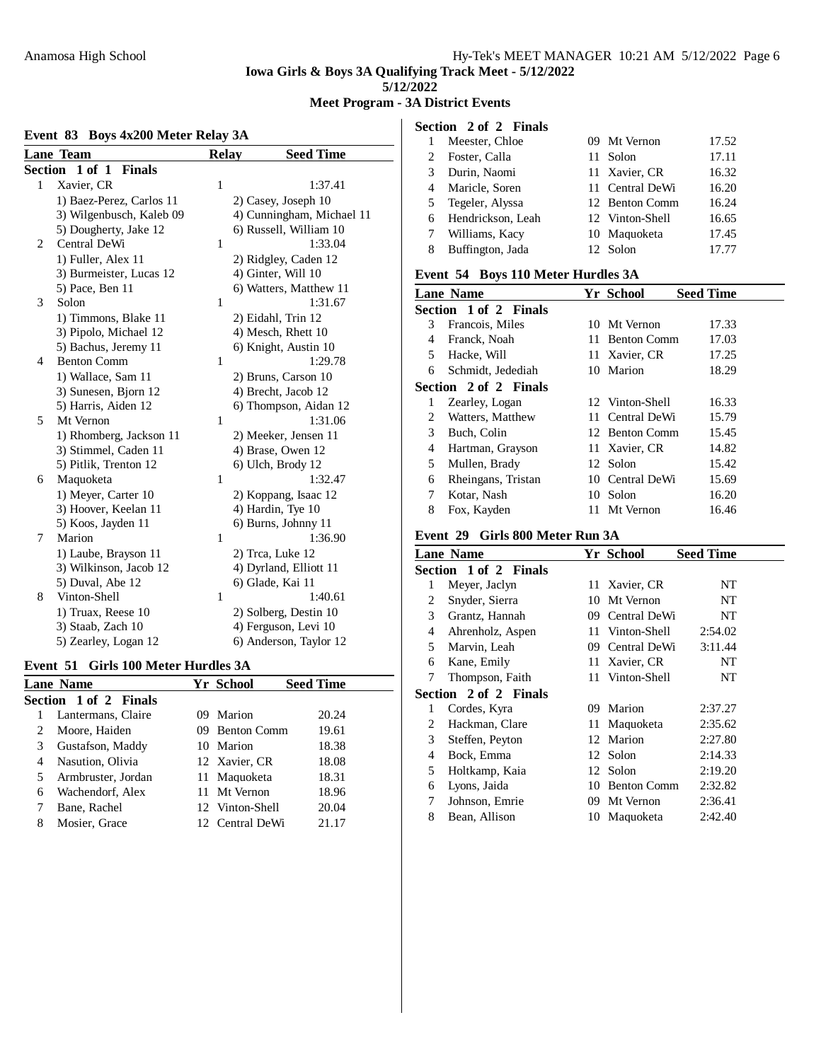**Meet Program - 3A District Events**

# **Event 83 Boys 4x200 Meter Relay 3A**

|         | <u>Lane Team</u>         | Relay | <b>Seed Time</b>          |
|---------|--------------------------|-------|---------------------------|
| Section | 1 of 1<br><b>Finals</b>  |       |                           |
| 1       | Xavier, CR               | 1     | 1:37.41                   |
|         | 1) Baez-Perez, Carlos 11 |       | 2) Casey, Joseph 10       |
|         | 3) Wilgenbusch, Kaleb 09 |       | 4) Cunningham, Michael 11 |
|         | 5) Dougherty, Jake 12    |       | 6) Russell, William 10    |
| 2       | Central DeWi             | 1     | 1:33.04                   |
|         | 1) Fuller, Alex 11       |       | 2) Ridgley, Caden 12      |
|         | 3) Burmeister, Lucas 12  |       | 4) Ginter, Will 10        |
|         | 5) Pace, Ben 11          |       | 6) Watters, Matthew 11    |
| 3       | Solon                    | 1     | 1:31.67                   |
|         | 1) Timmons, Blake 11     |       | 2) Eidahl, Trin 12        |
|         | 3) Pipolo, Michael 12    |       | 4) Mesch, Rhett 10        |
|         | 5) Bachus, Jeremy 11     |       | 6) Knight, Austin 10      |
| 4       | <b>Benton Comm</b>       | 1     | 1:29.78                   |
|         | 1) Wallace, Sam 11       |       | 2) Bruns, Carson 10       |
|         | 3) Sunesen, Bjorn 12     |       | 4) Brecht, Jacob 12       |
|         | 5) Harris, Aiden 12      |       | 6) Thompson, Aidan 12     |
| 5       | Mt Vernon                | 1     | 1:31.06                   |
|         | 1) Rhomberg, Jackson 11  |       | 2) Meeker, Jensen 11      |
|         | 3) Stimmel, Caden 11     |       | 4) Brase, Owen 12         |
|         | 5) Pitlik, Trenton 12    |       | 6) Ulch, Brody 12         |
| 6       | Maquoketa                | 1     | 1:32.47                   |
|         | 1) Meyer, Carter 10      |       | 2) Koppang, Isaac 12      |
|         | 3) Hoover, Keelan 11     |       | 4) Hardin, Tye 10         |
|         | 5) Koos, Jayden 11       |       | 6) Burns, Johnny 11       |
| 7       | Marion                   | 1     | 1:36.90                   |
|         | 1) Laube, Brayson 11     |       | 2) Trea, Luke 12          |
|         | 3) Wilkinson, Jacob 12   |       | 4) Dyrland, Elliott 11    |
|         | 5) Duval, Abe 12         |       | 6) Glade, Kai 11          |
| 8       | Vinton-Shell             | 1     | 1:40.61                   |
|         | 1) Truax, Reese 10       |       | 2) Solberg, Destin 10     |
|         | 3) Staab, Zach 10        |       | 4) Ferguson, Levi 10      |
|         | 5) Zearley, Logan 12     |       | 6) Anderson, Taylor 12    |

#### **Event 51 Girls 100 Meter Hurdles 3A**

|   | <b>Lane Name</b>      |    | Yr School       | <b>Seed Time</b> |
|---|-----------------------|----|-----------------|------------------|
|   | Section 1 of 2 Finals |    |                 |                  |
|   | Lantermans, Claire    | 09 | Marion          | 20.24            |
|   | Moore, Haiden         |    | 09 Benton Comm  | 19.61            |
| 3 | Gustafson, Maddy      |    | 10 Marion       | 18.38            |
| 4 | Nasution, Olivia      |    | 12 Xavier, CR   | 18.08            |
| 5 | Armbruster, Jordan    |    | 11 Maguoketa    | 18.31            |
| 6 | Wachendorf, Alex      |    | 11 Mt Vernon    | 18.96            |
|   | Bane, Rachel          |    | 12 Vinton-Shell | 20.04            |
| 8 | Mosier, Grace         |    | 12 Central DeWi | 21.17            |

|   | Section 2 of 2 Finals |                 |       |
|---|-----------------------|-----------------|-------|
|   | Meester, Chloe        | 09 Mt Vernon    | 17.52 |
| 2 | Foster, Calla         | 11 Solon        | 17.11 |
| 3 | Durin, Naomi          | 11 Xavier, CR   | 16.32 |
| 4 | Maricle, Soren        | 11 Central DeWi | 16.20 |
|   | 5 Tegeler, Alyssa     | 12 Benton Comm  | 16.24 |
|   | 6 Hendrickson, Leah   | 12 Vinton-Shell | 16.65 |
|   | Williams, Kacy        | 10 Maguoketa    | 17.45 |
| 8 | Buffington, Jada      | 12 Solon        | 17 77 |

#### **Event 54 Boys 110 Meter Hurdles 3A**

|   | <b>Lane Name</b>      |    | Yr School       | <b>Seed Time</b> |
|---|-----------------------|----|-----------------|------------------|
|   | Section 1 of 2 Finals |    |                 |                  |
| 3 | Francois, Miles       |    | 10 Mt Vernon    | 17.33            |
| 4 | Franck, Noah          |    | 11 Benton Comm  | 17.03            |
| 5 | Hacke, Will           |    | 11 Xavier, CR   | 17.25            |
| 6 | Schmidt, Jedediah     |    | 10 Marion       | 18.29            |
|   | Section 2 of 2 Finals |    |                 |                  |
| l | Zearley, Logan        |    | 12 Vinton-Shell | 16.33            |
| 2 | Watters, Matthew      |    | 11 Central DeWi | 15.79            |
| 3 | Buch, Colin           |    | 12 Benton Comm  | 15.45            |
| 4 | Hartman, Grayson      |    | 11 Xavier, CR   | 14.82            |
| 5 | Mullen, Brady         |    | 12 Solon        | 15.42            |
| 6 | Rheingans, Tristan    |    | 10 Central DeWi | 15.69            |
| 7 | Kotar, Nash           |    | 10 Solon        | 16.20            |
| 8 | Fox, Kayden           | 11 | Mt Vernon       | 16.46            |

#### **Event 29 Girls 800 Meter Run 3A**

|   | <b>Lane Name</b>      |     | Yr School          | <b>Seed Time</b> |
|---|-----------------------|-----|--------------------|------------------|
|   | Section 1 of 2 Finals |     |                    |                  |
| 1 | Meyer, Jaclyn         |     | 11 Xavier, CR      | NT               |
| 2 | Snyder, Sierra        | 10  | Mt Vernon          | NT               |
| 3 | Grantz, Hannah        | 09. | Central DeWi       | NT               |
| 4 | Ahrenholz, Aspen      | 11. | Vinton-Shell       | 2:54.02          |
| 5 | Marvin, Leah          | 09  | Central DeWi       | 3:11.44          |
| 6 | Kane, Emily           |     | 11 Xavier, CR      | NT               |
| 7 | Thompson, Faith       |     | 11 Vinton-Shell    | NT               |
|   | Section 2 of 2 Finals |     |                    |                  |
| 1 | Cordes, Kyra          | 09  | Marion             | 2:37.27          |
| 2 | Hackman, Clare        |     | 11 Maguoketa       | 2:35.62          |
| 3 | Steffen, Peyton       | 12  | Marion             | 2:27.80          |
| 4 | Bock, Emma            |     | 12 Solon           | 2:14.33          |
| 5 | Holtkamp, Kaia        |     | 12 Solon           | 2:19.20          |
| 6 | Lyons, Jaida          | 10  | <b>Benton Comm</b> | 2:32.82          |
| 7 | Johnson, Emrie        | 09  | Mt Vernon          | 2:36.41          |
| 8 | Bean, Allison         |     | 10 Maguoketa       | 2:42.40          |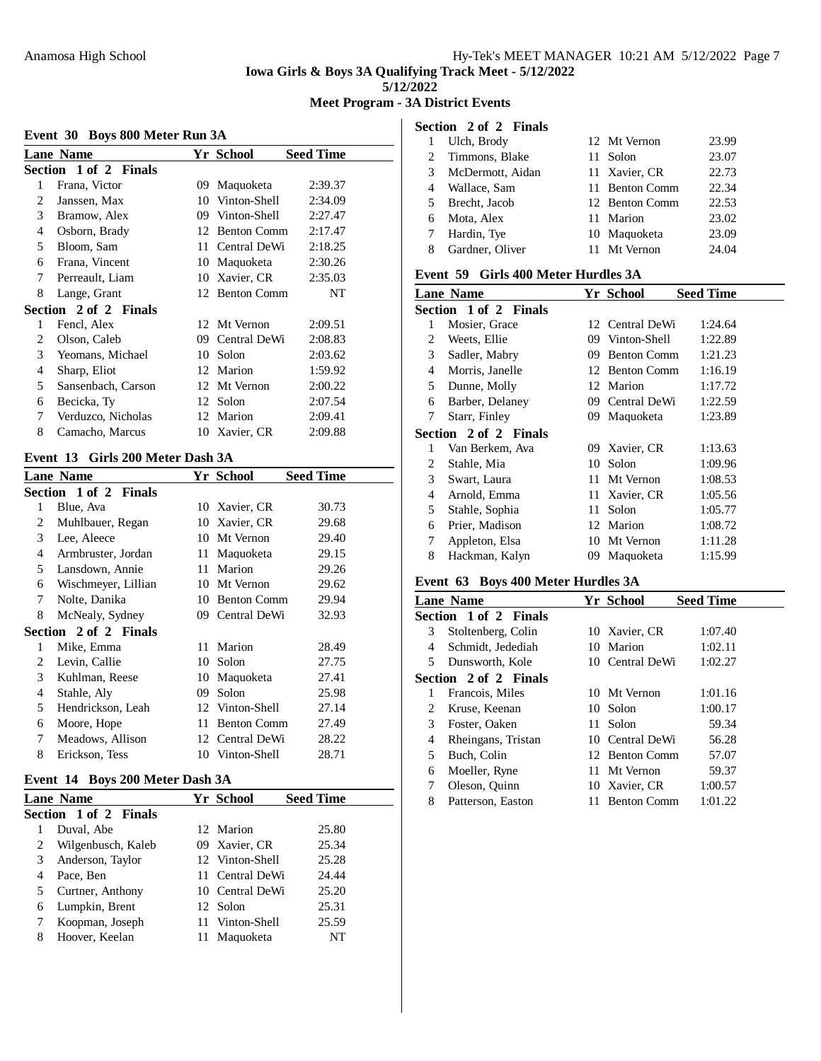**Meet Program - 3A District Events**

#### **Event 30 Boys 800 Meter Run 3A**

|   | <b>Lane Name</b>      |    | Yr School          | <b>Seed Time</b> |
|---|-----------------------|----|--------------------|------------------|
|   | Section 1 of 2 Finals |    |                    |                  |
| 1 | Frana, Victor         | 09 | Maquoketa          | 2:39.37          |
| 2 | Janssen, Max          | 10 | Vinton-Shell       | 2:34.09          |
| 3 | Bramow, Alex          | 09 | Vinton-Shell       | 2:27.47          |
| 4 | Osborn, Brady         | 12 | <b>Benton Comm</b> | 2:17.47          |
| 5 | Bloom, Sam            | 11 | Central DeWi       | 2:18.25          |
| 6 | Frana, Vincent        | 10 | Maquoketa          | 2:30.26          |
| 7 | Perreault, Liam       | 10 | Xavier, CR         | 2:35.03          |
| 8 | Lange, Grant          | 12 | <b>Benton Comm</b> | NT               |
|   | Section 2 of 2 Finals |    |                    |                  |
| 1 | Fencl, Alex           |    | 12 Mt Vernon       | 2:09.51          |
| 2 | Olson, Caleb          | 09 | Central DeWi       | 2:08.83          |
| 3 | Yeomans, Michael      | 10 | Solon              | 2:03.62          |
| 4 | Sharp, Eliot          | 12 | Marion             | 1:59.92          |
| 5 | Sansenbach, Carson    | 12 | Mt Vernon          | 2:00.22          |
| 6 | Becicka, Ty           | 12 | Solon              | 2:07.54          |
| 7 | Verduzco, Nicholas    | 12 | Marion             | 2:09.41          |
| 8 | Camacho, Marcus       |    | 10 Xavier, CR      | 2:09.88          |

### **Event 13 Girls 200 Meter Dash 3A**

|   | <b>Lane Name</b>      |     | Yr School          | <b>Seed Time</b> |
|---|-----------------------|-----|--------------------|------------------|
|   | Section 1 of 2 Finals |     |                    |                  |
| 1 | Blue, Ava             | 10  | Xavier, CR         | 30.73            |
| 2 | Muhlbauer, Regan      | 10  | Xavier, CR         | 29.68            |
| 3 | Lee, Aleece           | 10  | Mt Vernon          | 29.40            |
| 4 | Armbruster, Jordan    | 11  | Maquoketa          | 29.15            |
| 5 | Lansdown, Annie       | 11  | Marion             | 29.26            |
| 6 | Wischmeyer, Lillian   | 10  | Mt Vernon          | 29.62            |
| 7 | Nolte, Danika         | 10  | <b>Benton Comm</b> | 29.94            |
| 8 | McNealy, Sydney       | 09. | Central DeWi       | 32.93            |
|   | Section 2 of 2 Finals |     |                    |                  |
| 1 | Mike, Emma            | 11. | Marion             | 28.49            |
| 2 | Levin, Callie         | 10  | Solon              | 27.75            |
| 3 | Kuhlman, Reese        | 10  | Maquoketa          | 27.41            |
| 4 | Stahle, Aly           | 09  | Solon              | 25.98            |
| 5 | Hendrickson, Leah     |     | 12 Vinton-Shell    | 27.14            |
| 6 | Moore, Hope           | 11  | <b>Benton Comm</b> | 27.49            |
| 7 | Meadows, Allison      | 12  | Central DeWi       | 28.22            |
| 8 | Erickson, Tess        | 10  | Vinton-Shell       | 28.71            |
|   |                       |     |                    |                  |

### **Event 14 Boys 200 Meter Dash 3A**

|   | <b>Lane Name</b>      | <b>Yr School</b> | <b>Seed Time</b> |
|---|-----------------------|------------------|------------------|
|   | Section 1 of 2 Finals |                  |                  |
|   | Duval, Abe            | 12 Marion        | 25.80            |
| 2 | Wilgenbusch, Kaleb    | 09 Xavier, CR    | 25.34            |
| 3 | Anderson, Taylor      | 12 Vinton-Shell  | 25.28            |
| 4 | Pace, Ben             | 11 Central DeWi  | 24.44            |
|   | Curtner, Anthony      | 10 Central DeWi  | 25.20            |
| 6 | Lumpkin, Brent        | 12 Solon         | 25.31            |
|   | Koopman, Joseph       | 11 Vinton-Shell  | 25.59            |
|   | Hoover, Keelan        | Maquoketa        | NT               |
|   |                       |                  |                  |

|    | Section 2 of 2 Finals |                |       |
|----|-----------------------|----------------|-------|
|    | Ulch, Brody           | 12 Mt Vernon   | 23.99 |
| 2  | Timmons, Blake        | 11 Solon       | 23.07 |
| 3  | McDermott, Aidan      | 11 Xavier, CR  | 22.73 |
| 4  | Wallace, Sam          | 11 Benton Comm | 22.34 |
| 5. | Brecht, Jacob         | 12 Benton Comm | 22.53 |
| 6  | Mota, Alex            | 11 Marion      | 23.02 |
|    | Hardin, Tye           | 10 Maquoketa   | 23.09 |
| 8  | Gardner, Oliver       | 11 Mt Vernon   | 24.04 |

### **Event 59 Girls 400 Meter Hurdles 3A**

|   | <b>Lane Name</b>      |    | Yr School          | <b>Seed Time</b> |
|---|-----------------------|----|--------------------|------------------|
|   | Section 1 of 2 Finals |    |                    |                  |
| 1 | Mosier, Grace         |    | 12 Central DeWi    | 1:24.64          |
| 2 | Weets, Ellie          | 09 | Vinton-Shell       | 1:22.89          |
| 3 | Sadler, Mabry         | 09 | <b>Benton Comm</b> | 1:21.23          |
| 4 | Morris, Janelle       | 12 | <b>Benton Comm</b> | 1:16.19          |
| 5 | Dunne, Molly          | 12 | Marion             | 1:17.72          |
| 6 | Barber, Delaney       |    | 09 Central DeWi    | 1:22.59          |
| 7 | Starr, Finley         |    | 09 Maquoketa       | 1:23.89          |
|   | Section 2 of 2 Finals |    |                    |                  |
| 1 | Van Berkem, Ava       |    | 09 Xavier, CR      | 1:13.63          |
| 2 | Stahle, Mia           | 10 | Solon              | 1:09.96          |
| 3 | Swart, Laura          | 11 | Mt Vernon          | 1:08.53          |
| 4 | Arnold, Emma          | 11 | Xavier, CR         | 1:05.56          |
| 5 | Stahle, Sophia        | 11 | Solon              | 1:05.77          |
| 6 | Prier, Madison        |    | 12 Marion          | 1:08.72          |
| 7 | Appleton, Elsa        |    | 10 Mt Vernon       | 1:11.28          |
| 8 | Hackman, Kalyn        |    | 09 Maquoketa       | 1:15.99          |

#### **Event 63 Boys 400 Meter Hurdles 3A**

|   | <b>Lane Name</b>      |    | Yr School          | <b>Seed Time</b> |
|---|-----------------------|----|--------------------|------------------|
|   | Section 1 of 2 Finals |    |                    |                  |
| 3 | Stoltenberg, Colin    |    | 10 Xavier, CR      | 1:07.40          |
| 4 | Schmidt, Jedediah     |    | 10 Marion          | 1:02.11          |
| 5 | Dunsworth, Kole       |    | 10 Central DeWi    | 1:02.27          |
|   | Section 2 of 2 Finals |    |                    |                  |
| 1 | Francois, Miles       |    | 10 Mt Vernon       | 1:01.16          |
| 2 | Kruse, Keenan         |    | 10 Solon           | 1:00.17          |
| 3 | Foster, Oaken         | 11 | Solon              | 59.34            |
| 4 | Rheingans, Tristan    |    | 10 Central DeWi    | 56.28            |
| 5 | Buch, Colin           |    | 12 Benton Comm     | 57.07            |
| 6 | Moeller, Ryne         |    | 11 Mt Vernon       | 59.37            |
| 7 | Oleson, Quinn         |    | 10 Xavier, CR      | 1:00.57          |
| 8 | Patterson, Easton     | 11 | <b>Benton Comm</b> | 1:01.22          |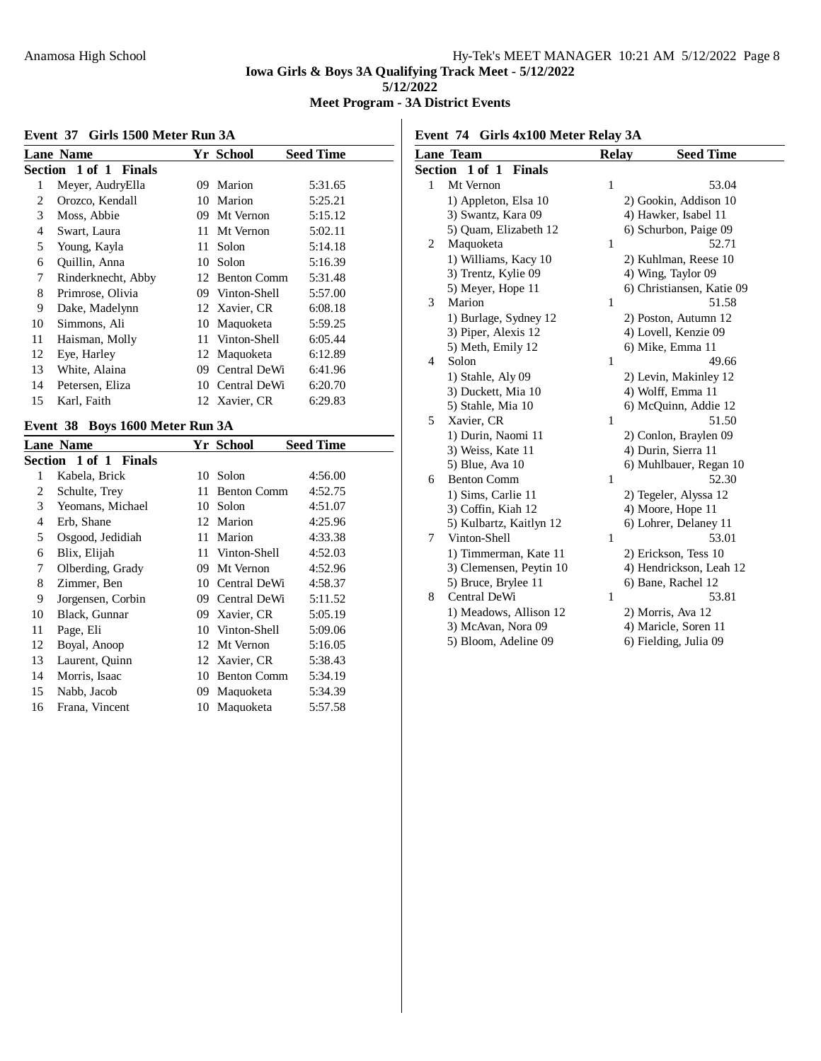# **Meet Program - 3A District Events**

 $\mathbb{R}$ 

#### **Event 37 Girls 1500 Meter Run 3A**

|    | <b>Lane Name</b>      |     | <b>Yr School</b> | <b>Seed Time</b> |
|----|-----------------------|-----|------------------|------------------|
|    | Section 1 of 1 Finals |     |                  |                  |
| 1  | Meyer, AudryElla      | 09  | Marion           | 5:31.65          |
| 2  | Orozco, Kendall       |     | 10 Marion        | 5:25.21          |
| 3  | Moss, Abbie           | 09  | Mt Vernon        | 5:15.12          |
| 4  | Swart, Laura          | 11  | Mt Vernon        | 5:02.11          |
| 5  | Young, Kayla          | 11. | Solon            | 5:14.18          |
| 6  | Quillin, Anna         | 10  | Solon            | 5:16.39          |
| 7  | Rinderknecht, Abby    |     | 12 Benton Comm   | 5:31.48          |
| 8  | Primrose, Olivia      |     | 09 Vinton-Shell  | 5:57.00          |
| 9  | Dake, Madelynn        |     | 12 Xavier, CR    | 6:08.18          |
| 10 | Simmons, Ali          | 10  | Maquoketa        | 5:59.25          |
| 11 | Haisman, Molly        | 11  | Vinton-Shell     | 6:05.44          |
| 12 | Eye, Harley           |     | 12 Maguoketa     | 6:12.89          |
| 13 | White, Alaina         | 09  | Central DeWi     | 6:41.96          |
| 14 | Petersen, Eliza       | 10  | Central DeWi     | 6:20.70          |
| 15 | Karl, Faith           |     | 12 Xavier, CR    | 6:29.83          |

# **Event 38 Boys 1600 Meter Run 3A**

|                |                                                                                                                                                                                                                                                            |                    | <b>Seed Time</b>                                                                           |
|----------------|------------------------------------------------------------------------------------------------------------------------------------------------------------------------------------------------------------------------------------------------------------|--------------------|--------------------------------------------------------------------------------------------|
|                |                                                                                                                                                                                                                                                            |                    |                                                                                            |
| Kabela, Brick  |                                                                                                                                                                                                                                                            | Solon              | 4:56.00                                                                                    |
|                | 11                                                                                                                                                                                                                                                         | <b>Benton Comm</b> | 4:52.75                                                                                    |
|                |                                                                                                                                                                                                                                                            | Solon              | 4:51.07                                                                                    |
|                |                                                                                                                                                                                                                                                            |                    | 4:25.96                                                                                    |
|                | 11                                                                                                                                                                                                                                                         | Marion             | 4:33.38                                                                                    |
|                |                                                                                                                                                                                                                                                            |                    | 4:52.03                                                                                    |
|                | 09                                                                                                                                                                                                                                                         | Mt Vernon          | 4:52.96                                                                                    |
|                |                                                                                                                                                                                                                                                            | Central DeWi       | 4:58.37                                                                                    |
|                | 09                                                                                                                                                                                                                                                         | Central DeWi       | 5:11.52                                                                                    |
| Black, Gunnar  |                                                                                                                                                                                                                                                            | Xavier, CR         | 5:05.19                                                                                    |
| Page, Eli      | 10                                                                                                                                                                                                                                                         | Vinton-Shell       | 5:09.06                                                                                    |
|                | 12                                                                                                                                                                                                                                                         | Mt Vernon          | 5:16.05                                                                                    |
|                |                                                                                                                                                                                                                                                            |                    | 5:38.43                                                                                    |
|                | 10                                                                                                                                                                                                                                                         | <b>Benton Comm</b> | 5:34.19                                                                                    |
|                | 09                                                                                                                                                                                                                                                         | Maquoketa          | 5:34.39                                                                                    |
| Frana, Vincent | 10                                                                                                                                                                                                                                                         | Maquoketa          | 5:57.58                                                                                    |
|                | <b>Lane Name</b><br>Section 1 of 1 Finals<br>Schulte, Trey<br>Yeomans, Michael<br>Erb, Shane<br>Osgood, Jedidiah<br>Blix, Elijah<br>Olberding, Grady<br>Zimmer, Ben<br>Jorgensen, Corbin<br>Boyal, Anoop<br>Laurent, Quinn<br>Morris, Isaac<br>Nabb, Jacob |                    | <b>Yr School</b><br>10<br>10<br>12 Marion<br>11 Vinton-Shell<br>10<br>09.<br>12 Xavier, CR |

| Event 74 Girls 4x100 Meter Relay 3A |                             |              |                           |  |  |
|-------------------------------------|-----------------------------|--------------|---------------------------|--|--|
|                                     | <b>Lane Team</b>            | <b>Relay</b> | <b>Seed Time</b>          |  |  |
| Section                             | $1$ of $1$<br><b>Finals</b> |              |                           |  |  |
| 1                                   | Mt Vernon                   | $\mathbf{1}$ | 53.04                     |  |  |
|                                     | 1) Appleton, Elsa 10        |              | 2) Gookin, Addison 10     |  |  |
|                                     | 3) Swantz, Kara 09          |              | 4) Hawker, Isabel 11      |  |  |
|                                     | 5) Quam, Elizabeth 12       |              | 6) Schurbon, Paige 09     |  |  |
| $\overline{c}$                      | Maquoketa                   | $\mathbf{1}$ | 52.71                     |  |  |
|                                     | 1) Williams, Kacy 10        |              | 2) Kuhlman, Reese 10      |  |  |
|                                     | 3) Trentz, Kylie 09         |              | 4) Wing, Taylor 09        |  |  |
|                                     | 5) Meyer, Hope 11           |              | 6) Christiansen, Katie 09 |  |  |
| 3                                   | Marion                      | $\mathbf{1}$ | 51.58                     |  |  |
|                                     | 1) Burlage, Sydney 12       |              | 2) Poston, Autumn 12      |  |  |
|                                     | 3) Piper, Alexis 12         |              | 4) Lovell, Kenzie 09      |  |  |
|                                     | 5) Meth, Emily 12           |              | 6) Mike, Emma 11          |  |  |
| 4                                   | Solon                       | $\mathbf{1}$ | 49.66                     |  |  |
|                                     | 1) Stahle, Aly 09           |              | 2) Levin, Makinley 12     |  |  |
|                                     | 3) Duckett, Mia 10          |              | 4) Wolff, Emma 11         |  |  |
|                                     | 5) Stahle, Mia 10           |              | 6) McQuinn, Addie 12      |  |  |
| 5                                   | Xavier, CR                  | $\mathbf{1}$ | 51.50                     |  |  |
|                                     | 1) Durin, Naomi 11          |              | 2) Conlon, Braylen 09     |  |  |
|                                     | 3) Weiss, Kate 11           |              | 4) Durin, Sierra 11       |  |  |
|                                     | 5) Blue, Ava 10             |              | 6) Muhlbauer, Regan 10    |  |  |
| 6                                   | <b>Benton Comm</b>          | $\mathbf{1}$ | 52.30                     |  |  |
|                                     | 1) Sims, Carlie 11          |              | 2) Tegeler, Alyssa 12     |  |  |
|                                     | 3) Coffin, Kiah 12          |              | 4) Moore, Hope 11         |  |  |
|                                     | 5) Kulbartz, Kaitlyn 12     |              | 6) Lohrer, Delaney 11     |  |  |
| 7                                   | Vinton-Shell                | $\mathbf{1}$ | 53.01                     |  |  |
|                                     | 1) Timmerman, Kate 11       |              | 2) Erickson, Tess 10      |  |  |
|                                     | 3) Clemensen, Peytin 10     |              | 4) Hendrickson, Leah 12   |  |  |
|                                     | 5) Bruce, Brylee 11         |              | 6) Bane, Rachel 12        |  |  |
| 8                                   | Central DeWi                | $\mathbf{1}$ | 53.81                     |  |  |
|                                     | 1) Meadows, Allison 12      |              | 2) Morris, Ava 12         |  |  |
|                                     | 3) McAvan, Nora 09          |              | 4) Maricle, Soren 11      |  |  |
|                                     | 5) Bloom, Adeline 09        |              | 6) Fielding, Julia 09     |  |  |
|                                     |                             |              |                           |  |  |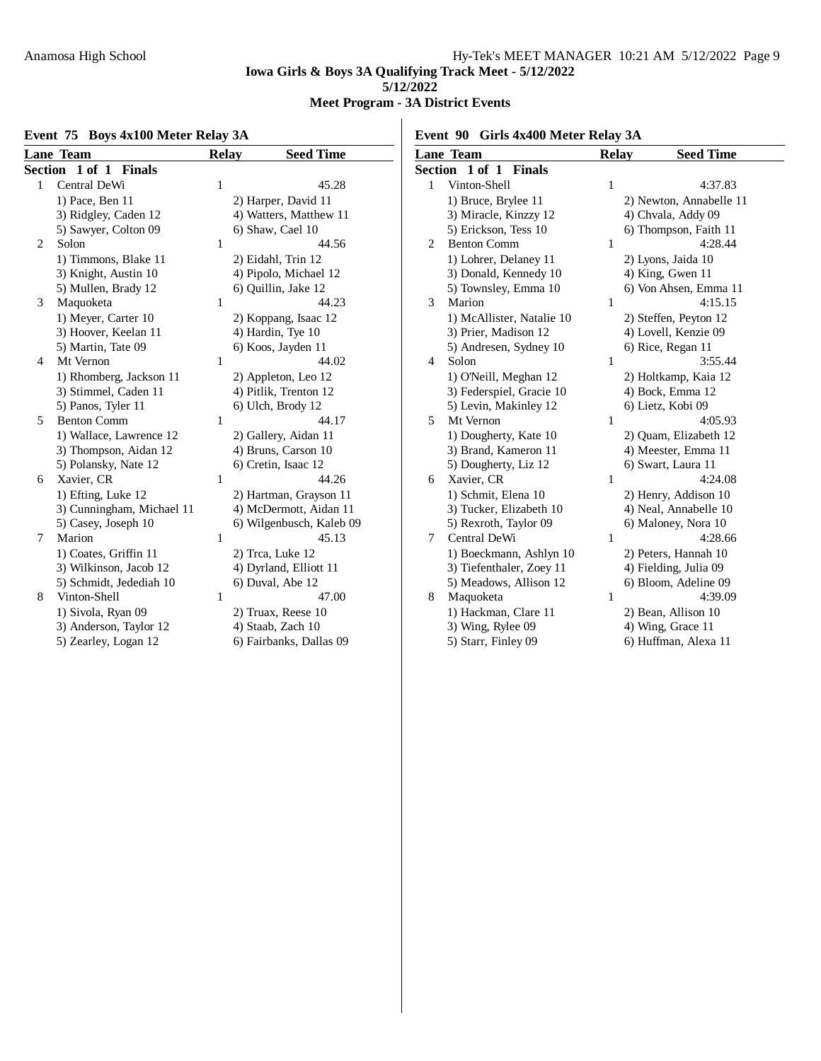# **Meet Program - 3A District Events**

# **Event 75 Boys 4x100 Meter Relay 3A**

**Event 90 Girls 4x400 Meter Relay 3A**

|   | <b>Lane Team</b>          | <b>Relay</b> | <b>Seed Time</b>         |              | <b>Lane Team</b>          | <b>Relay</b> | <b>Seed Time</b>        |
|---|---------------------------|--------------|--------------------------|--------------|---------------------------|--------------|-------------------------|
|   | Section 1 of 1 Finals     |              |                          |              | Section 1 of 1 Finals     |              |                         |
|   | Central DeWi              |              | 45.28                    | $\mathbf{1}$ | Vinton-Shell              |              | 4:37.83                 |
|   | 1) Pace, Ben 11           |              | 2) Harper, David 11      |              | 1) Bruce, Brylee 11       |              | 2) Newton, Annabelle 11 |
|   | 3) Ridgley, Caden 12      |              | 4) Watters, Matthew 11   |              | 3) Miracle, Kinzzy 12     |              | 4) Chvala, Addy 09      |
|   | 5) Sawyer, Colton 09      |              | 6) Shaw, Cael 10         |              | 5) Erickson, Tess 10      |              | 6) Thompson, Faith 11   |
| 2 | Solon                     |              | 44.56                    | 2            | <b>Benton Comm</b>        |              | 4:28.44                 |
|   | 1) Timmons, Blake 11      |              | 2) Eidahl, Trin 12       |              | 1) Lohrer, Delaney 11     |              | 2) Lyons, Jaida 10      |
|   | 3) Knight, Austin 10      |              | 4) Pipolo, Michael 12    |              | 3) Donald, Kennedy 10     |              | 4) King, Gwen 11        |
|   | 5) Mullen, Brady 12       |              | 6) Quillin, Jake 12      |              | 5) Townsley, Emma 10      |              | 6) Von Ahsen, Emma 11   |
| 3 | Maquoketa                 |              | 44.23                    | 3            | Marion                    |              | 4:15.15                 |
|   | 1) Meyer, Carter 10       |              | 2) Koppang, Isaac 12     |              | 1) McAllister, Natalie 10 |              | 2) Steffen, Peyton 12   |
|   | 3) Hoover, Keelan 11      |              | 4) Hardin, Tye 10        |              | 3) Prier, Madison 12      |              | 4) Lovell, Kenzie 09    |
|   | 5) Martin, Tate 09        |              | 6) Koos, Jayden 11       |              | 5) Andresen, Sydney 10    |              | 6) Rice, Regan 11       |
| 4 | Mt Vernon                 |              | 44.02                    | 4            | Solon                     |              | 3:55.44                 |
|   | 1) Rhomberg, Jackson 11   |              | 2) Appleton, Leo 12      |              | 1) O'Neill, Meghan 12     |              | 2) Holtkamp, Kaia 12    |
|   | 3) Stimmel, Caden 11      |              | 4) Pitlik, Trenton 12    |              | 3) Federspiel, Gracie 10  |              | 4) Bock, Emma 12        |
|   | 5) Panos, Tyler 11        |              | 6) Ulch, Brody 12        |              | 5) Levin, Makinley 12     |              | 6) Lietz, Kobi 09       |
| 5 | <b>Benton Comm</b>        | 1            | 44.17                    | 5            | Mt Vernon                 |              | 4:05.93                 |
|   | 1) Wallace, Lawrence 12   |              | 2) Gallery, Aidan 11     |              | 1) Dougherty, Kate 10     |              | 2) Quam, Elizabeth 12   |
|   | 3) Thompson, Aidan 12     |              | 4) Bruns, Carson 10      |              | 3) Brand, Kameron 11      |              | 4) Meester, Emma 11     |
|   | 5) Polansky, Nate 12      |              | 6) Cretin, Isaac 12      |              | 5) Dougherty, Liz 12      |              | 6) Swart, Laura 11      |
| 6 | Xavier, CR                |              | 44.26                    | 6            | Xavier, CR                |              | 4:24.08                 |
|   | 1) Efting, Luke 12        |              | 2) Hartman, Grayson 11   |              | 1) Schmit, Elena 10       |              | 2) Henry, Addison 10    |
|   | 3) Cunningham, Michael 11 |              | 4) McDermott, Aidan 11   |              | 3) Tucker, Elizabeth 10   |              | 4) Neal, Annabelle 10   |
|   | 5) Casey, Joseph 10       |              | 6) Wilgenbusch, Kaleb 09 |              | 5) Rexroth, Taylor 09     |              | 6) Maloney, Nora 10     |
| 7 | Marion                    | 1            | 45.13                    | 7            | Central DeWi              |              | 4:28.66                 |
|   | 1) Coates, Griffin 11     |              | 2) Trca, Luke 12         |              | 1) Boeckmann, Ashlyn 10   |              | 2) Peters, Hannah 10    |
|   | 3) Wilkinson, Jacob 12    |              | 4) Dyrland, Elliott 11   |              | 3) Tiefenthaler, Zoey 11  |              | 4) Fielding, Julia 09   |
|   | 5) Schmidt, Jedediah 10   |              | 6) Duval, Abe 12         |              | 5) Meadows, Allison 12    |              | 6) Bloom, Adeline 09    |
| 8 | Vinton-Shell              | 1            | 47.00                    | 8            | Maquoketa                 |              | 4:39.09                 |
|   | 1) Sivola, Ryan 09        |              | 2) Truax, Reese 10       |              | 1) Hackman, Clare 11      |              | 2) Bean, Allison 10     |
|   | 3) Anderson, Taylor 12    |              | 4) Staab, Zach 10        |              | 3) Wing, Rylee 09         |              | 4) Wing, Grace 11       |
|   | 5) Zearley, Logan 12      |              | 6) Fairbanks, Dallas 09  |              | 5) Starr, Finley 09       |              | 6) Huffman, Alexa 11    |
|   |                           |              |                          |              |                           |              |                         |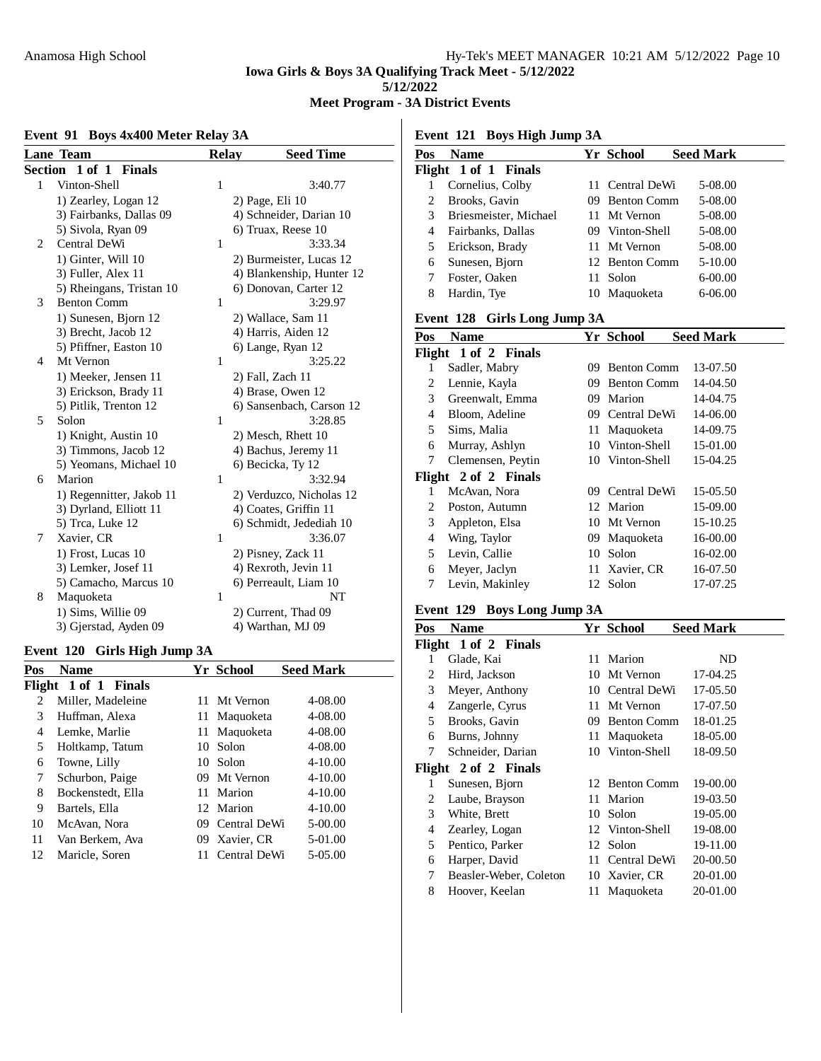#### **Meet Program - 3A District Events**

#### **Event 91 Boys 4x400 Meter Relay 3A**

**Lane Team Relay Seed Time Section 1 of 1 Finals** 1 Vinton-Shell 1 3:40.77 1) Zearley, Logan 12 2) Page, Eli 10 3) Fairbanks, Dallas 09 4) Schneider, Darian 10 5) Sivola, Ryan 09 6) Truax, Reese 10 2 Central DeWi 1 3:33.34 1) Ginter, Will 10 2) Burmeister, Lucas 12 3) Fuller, Alex 11 4) Blankenship, Hunter 12<br>5) Rheingans, Tristan 10 6) Donovan, Carter 12 5) Rheingans, Tristan 10 6) Donovan, Carter 12<br>Benton Comm 1 3:29.97 3 Benton Comm 1 1) Sunesen, Bjorn 12 2) Wallace, Sam 11 3) Brecht, Jacob 12 4) Harris, Aiden 12 5) Pfiffner, Easton 10 6) Lange, Ryan 12 4 Mt Vernon 1 3:25.22 1) Meeker, Jensen 11 2) Fall, Zach 11 3) Erickson, Brady 11 4) Brase, Owen 12 5) Pitlik, Trenton 12 6) Sansenbach, Carson 12 5 Solon 1 3:28.85 1) Knight, Austin 10 2) Mesch, Rhett 10 3) Timmons, Jacob 12 4) Bachus, Jeremy 11 5) Yeomans, Michael 10 6) Becicka, Ty 12 6 Marion 1 3:32.94 1) Regennitter, Jakob 11 2) Verduzco, Nicholas 12 3) Dyrland, Elliott 11 4) Coates, Griffin 11 5) Trca, Luke 12 6) Schmidt, Jedediah 10 7 Xavier, CR 1 3:36.07 1) Frost, Lucas 10 2) Pisney, Zack 11 3) Lemker, Josef 11 4) Rexroth, Jevin 11 5) Camacho, Marcus 10 6) Perreault, Liam 10 8 Maquoketa 1 NT 1) Sims, Willie 09 2) Current, Thad 09 3) Gjerstad, Ayden 09 4) Warthan, MJ 09

#### **Event 120 Girls High Jump 3A**

| Pos            | Name                 |     | Yr School       | <b>Seed Mark</b> |
|----------------|----------------------|-----|-----------------|------------------|
|                | Flight 1 of 1 Finals |     |                 |                  |
| $\mathfrak{D}$ | Miller, Madeleine    | 11. | Mt Vernon       | 4-08.00          |
| 3              | Huffman, Alexa       | 11  | Maquoketa       | 4-08.00          |
| 4              | Lemke, Marlie        | 11. | Maquoketa       | 4-08.00          |
| 5              | Holtkamp, Tatum      | 10  | Solon           | 4-08.00          |
| 6              | Towne, Lilly         |     | 10 Solon        | $4 - 10.00$      |
| 7              | Schurbon, Paige      |     | 09 Mt Vernon    | $4 - 10.00$      |
| 8              | Bockenstedt, Ella    | 11. | Marion          | $4 - 10.00$      |
| 9              | Bartels, Ella        |     | 12 Marion       | $4 - 10.00$      |
| 10             | McAvan, Nora         |     | 09 Central DeWi | 5-00.00          |
| 11             | Van Berkem, Ava      |     | 09 Xavier, CR   | 5-01.00          |
| 12             | Maricle, Soren       | 11  | Central DeWi    | 5-05.00          |
|                |                      |     |                 |                  |

**Event 121 Boys High Jump 3A**

| <b>Name</b>           |                      |                    | <b>Seed Mark</b>                                                                                                                     |
|-----------------------|----------------------|--------------------|--------------------------------------------------------------------------------------------------------------------------------------|
|                       |                      |                    |                                                                                                                                      |
| Cornelius, Colby      |                      |                    | 5-08.00                                                                                                                              |
| Brooks, Gavin         |                      | <b>Benton Comm</b> | 5-08.00                                                                                                                              |
| Briesmeister, Michael |                      |                    | 5-08.00                                                                                                                              |
| Fairbanks, Dallas     |                      |                    | 5-08.00                                                                                                                              |
| Erickson, Brady       |                      |                    | 5-08.00                                                                                                                              |
| Sunesen, Bjorn        |                      |                    | 5-10.00                                                                                                                              |
| Foster, Oaken         |                      |                    | $6 - 00.00$                                                                                                                          |
| Hardin, Tye           |                      |                    | $6 - 06.00$                                                                                                                          |
|                       | Flight 1 of 1 Finals |                    | Yr School<br>11 Central DeWi<br>09.<br>11 Mt Vernon<br>09 Vinton-Shell<br>11 Mt Vernon<br>12 Benton Comm<br>11 Solon<br>10 Maguoketa |

#### **Event 128 Girls Long Jump 3A**

| Pos    | <b>Name</b>          |     | <b>Yr School</b>   | <b>Seed Mark</b> |
|--------|----------------------|-----|--------------------|------------------|
| Flight | 1 of 2 Finals        |     |                    |                  |
| 1      | Sadler, Mabry        | 09  | <b>Benton Comm</b> | 13-07.50         |
| 2      | Lennie, Kayla        | 09  | <b>Benton Comm</b> | 14-04.50         |
| 3      | Greenwalt, Emma      | 09  | Marion             | 14-04.75         |
| 4      | Bloom, Adeline       | 09  | Central DeWi       | 14-06.00         |
| 5      | Sims, Malia          | 11  | Maquoketa          | 14-09.75         |
| 6      | Murray, Ashlyn       |     | 10 Vinton-Shell    | 15-01.00         |
| 7      | Clemensen, Peytin    |     | 10 Vinton-Shell    | 15-04.25         |
|        | Flight 2 of 2 Finals |     |                    |                  |
| 1      | McAvan, Nora         | 09  | Central DeWi       | 15-05.50         |
| 2      | Poston, Autumn       |     | 12 Marion          | 15-09.00         |
| 3      | Appleton, Elsa       | 10. | Mt Vernon          | 15-10.25         |
| 4      | Wing, Taylor         | 09. | Maquoketa          | 16-00.00         |
| 5      | Levin, Callie        | 10  | Solon              | 16-02.00         |
| 6      | Meyer, Jaclyn        | 11  | Xavier, CR         | 16-07.50         |
| 7      | Levin, Makinley      | 12  | Solon              | 17-07.25         |
|        |                      |     |                    |                  |

#### **Event 129 Boys Long Jump 3A**

| Pos    | Name                   |    | Yr School          | <b>Seed Mark</b> |  |
|--------|------------------------|----|--------------------|------------------|--|
| Flight | 1 of 2 Finals          |    |                    |                  |  |
| 1      | Glade, Kai             | 11 | Marion             | ND               |  |
| 2      | Hird, Jackson          | 10 | Mt Vernon          | 17-04.25         |  |
| 3      | Meyer, Anthony         |    | 10 Central DeWi    | 17-05.50         |  |
| 4      | Zangerle, Cyrus        | 11 | Mt Vernon          | 17-07.50         |  |
| 5      | Brooks, Gavin          | 09 | <b>Benton Comm</b> | 18-01.25         |  |
| 6      | Burns, Johnny          | 11 | Maquoketa          | 18-05.00         |  |
| 7      | Schneider, Darian      |    | 10 Vinton-Shell    | 18-09.50         |  |
|        | Flight 2 of 2 Finals   |    |                    |                  |  |
| 1      | Sunesen, Bjorn         | 12 | <b>Benton Comm</b> | 19-00.00         |  |
| 2      | Laube, Brayson         | 11 | Marion             | 19-03.50         |  |
| 3      | White, Brett           | 10 | Solon              | 19-05.00         |  |
| 4      | Zearley, Logan         |    | 12 Vinton-Shell    | 19-08.00         |  |
| 5      | Pentico, Parker        | 12 | Solon              | 19-11.00         |  |
| 6      | Harper, David          | 11 | Central DeWi       | 20-00.50         |  |
| 7      | Beasler-Weber, Coleton |    | 10 Xavier, CR      | 20-01.00         |  |
| 8      | Hoover, Keelan         |    | 11 Maquoketa       | 20-01.00         |  |